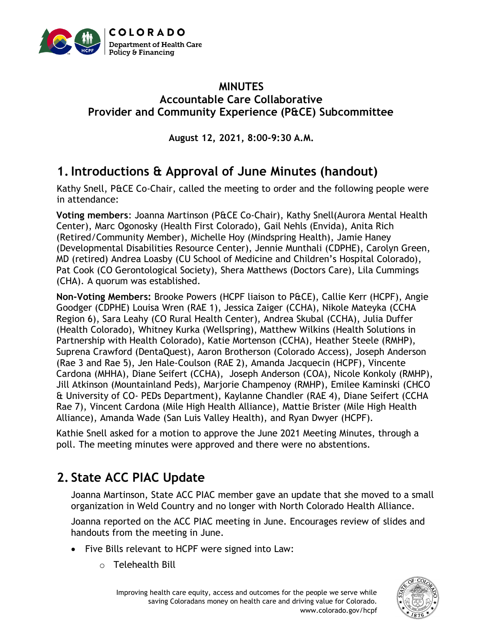

#### **MINUTES Accountable Care Collaborative Provider and Community Experience (P&CE) Subcommittee**

**August 12, 2021, 8:00-9:30 A.M.**

# **1.Introductions & Approval of June Minutes (handout)**

Kathy Snell, P&CE Co-Chair, called the meeting to order and the following people were in attendance:

**Voting members**: Joanna Martinson (P&CE Co-Chair), Kathy Snell(Aurora Mental Health Center), Marc Ogonosky (Health First Colorado), Gail Nehls (Envida), Anita Rich (Retired/Community Member), Michelle Hoy (Mindspring Health), Jamie Haney (Developmental Disabilities Resource Center), Jennie Munthali (CDPHE), Carolyn Green, MD (retired) Andrea Loasby (CU School of Medicine and Children's Hospital Colorado), Pat Cook (CO Gerontological Society), Shera Matthews (Doctors Care), Lila Cummings (CHA). A quorum was established.

**Non-Voting Members:** Brooke Powers (HCPF liaison to P&CE), Callie Kerr (HCPF), Angie Goodger (CDPHE) Louisa Wren (RAE 1), Jessica Zaiger (CCHA), Nikole Mateyka (CCHA Region 6), Sara Leahy (CO Rural Health Center), Andrea Skubal (CCHA), Julia Duffer (Health Colorado), Whitney Kurka (Wellspring), Matthew Wilkins (Health Solutions in Partnership with Health Colorado), Katie Mortenson (CCHA), Heather Steele (RMHP), Suprena Crawford (DentaQuest), Aaron Brotherson (Colorado Access), Joseph Anderson (Rae 3 and Rae 5), Jen Hale-Coulson (RAE 2), Amanda Jacquecin (HCPF), Vincente Cardona (MHHA), Diane Seifert (CCHA), Joseph Anderson (COA), Nicole Konkoly (RMHP), Jill Atkinson (Mountainland Peds), Marjorie Champenoy (RMHP), Emilee Kaminski (CHCO & University of CO- PEDs Department), Kaylanne Chandler (RAE 4), Diane Seifert (CCHA Rae 7), Vincent Cardona (Mile High Health Alliance), Mattie Brister (Mile High Health Alliance), Amanda Wade (San Luis Valley Health), and Ryan Dwyer (HCPF).

Kathie Snell asked for a motion to approve the June 2021 Meeting Minutes, through a poll. The meeting minutes were approved and there were no abstentions.

# **2. State ACC PIAC Update**

Joanna Martinson, State ACC PIAC member gave an update that she moved to a small organization in Weld Country and no longer with North Colorado Health Alliance.

Joanna reported on the ACC PIAC meeting in June. Encourages review of slides and handouts from the meeting in June.

- Five Bills relevant to HCPF were signed into Law:
	- o Telehealth Bill

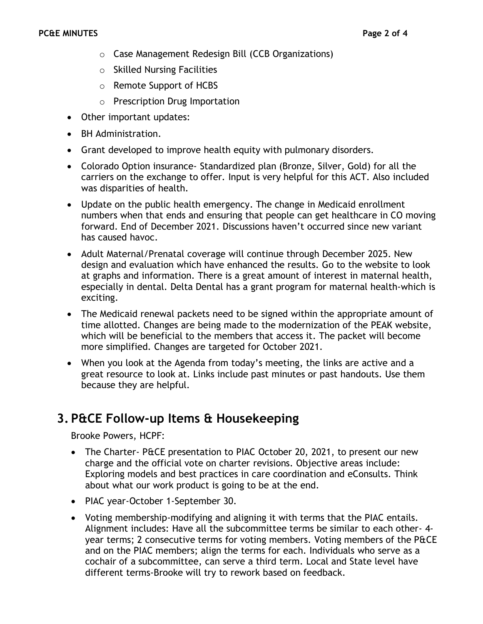- o Case Management Redesign Bill (CCB Organizations)
- o Skilled Nursing Facilities
- o Remote Support of HCBS
- o Prescription Drug Importation
- Other important updates:
- BH Administration.
- Grant developed to improve health equity with pulmonary disorders.
- Colorado Option insurance- Standardized plan (Bronze, Silver, Gold) for all the carriers on the exchange to offer. Input is very helpful for this ACT. Also included was disparities of health.
- Update on the public health emergency. The change in Medicaid enrollment numbers when that ends and ensuring that people can get healthcare in CO moving forward. End of December 2021. Discussions haven't occurred since new variant has caused havoc.
- Adult Maternal/Prenatal coverage will continue through December 2025. New design and evaluation which have enhanced the results. Go to the website to look at graphs and information. There is a great amount of interest in maternal health, especially in dental. Delta Dental has a grant program for maternal health-which is exciting.
- The Medicaid renewal packets need to be signed within the appropriate amount of time allotted. Changes are being made to the modernization of the PEAK website, which will be beneficial to the members that access it. The packet will become more simplified. Changes are targeted for October 2021.
- When you look at the Agenda from today's meeting, the links are active and a great resource to look at. Links include past minutes or past handouts. Use them because they are helpful.

#### **3. P&CE Follow-up Items & Housekeeping**

Brooke Powers, HCPF:

- The Charter- P&CE presentation to PIAC October 20, 2021, to present our new charge and the official vote on charter revisions. Objective areas include: Exploring models and best practices in care coordination and eConsults. Think about what our work product is going to be at the end.
- PIAC year-October 1-September 30.
- Voting membership-modifying and aligning it with terms that the PIAC entails. Alignment includes: Have all the subcommittee terms be similar to each other- 4 year terms; 2 consecutive terms for voting members. Voting members of the P&CE and on the PIAC members; align the terms for each. Individuals who serve as a cochair of a subcommittee, can serve a third term. Local and State level have different terms-Brooke will try to rework based on feedback.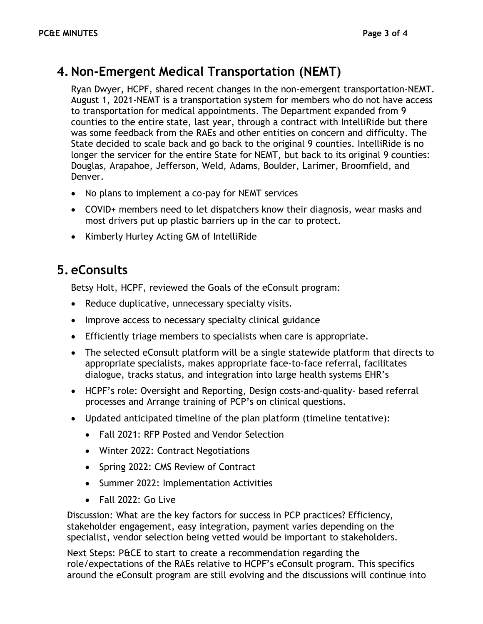#### **4.Non-Emergent Medical Transportation (NEMT)**

Ryan Dwyer, HCPF, shared recent changes in the non-emergent transportation-NEMT. August 1, 2021-NEMT is a transportation system for members who do not have access to transportation for medical appointments. The Department expanded from 9 counties to the entire state, last year, through a contract with IntelliRide but there was some feedback from the RAEs and other entities on concern and difficulty. The State decided to scale back and go back to the original 9 counties. IntelliRide is no longer the servicer for the entire State for NEMT, but back to its original 9 counties: Douglas, Arapahoe, Jefferson, Weld, Adams, Boulder, Larimer, Broomfield, and Denver.

- No plans to implement a co-pay for NEMT services
- COVID+ members need to let dispatchers know their diagnosis, wear masks and most drivers put up plastic barriers up in the car to protect.
- Kimberly Hurley Acting GM of IntelliRide

### **5. eConsults**

Betsy Holt, HCPF, reviewed the Goals of the eConsult program:

- Reduce duplicative, unnecessary specialty visits.
- Improve access to necessary specialty clinical guidance
- Efficiently triage members to specialists when care is appropriate.
- The selected eConsult platform will be a single statewide platform that directs to appropriate specialists, makes appropriate face-to-face referral, facilitates dialogue, tracks status, and integration into large health systems EHR's
- HCPF's role: Oversight and Reporting, Design costs-and-quality- based referral processes and Arrange training of PCP's on clinical questions.
- Updated anticipated timeline of the plan platform (timeline tentative):
	- Fall 2021: RFP Posted and Vendor Selection
	- Winter 2022: Contract Negotiations
	- Spring 2022: CMS Review of Contract
	- Summer 2022: Implementation Activities
	- Fall 2022: Go Live

Discussion: What are the key factors for success in PCP practices? Efficiency, stakeholder engagement, easy integration, payment varies depending on the specialist, vendor selection being vetted would be important to stakeholders.

Next Steps: P&CE to start to create a recommendation regarding the role/expectations of the RAEs relative to HCPF's eConsult program. This specifics around the eConsult program are still evolving and the discussions will continue into